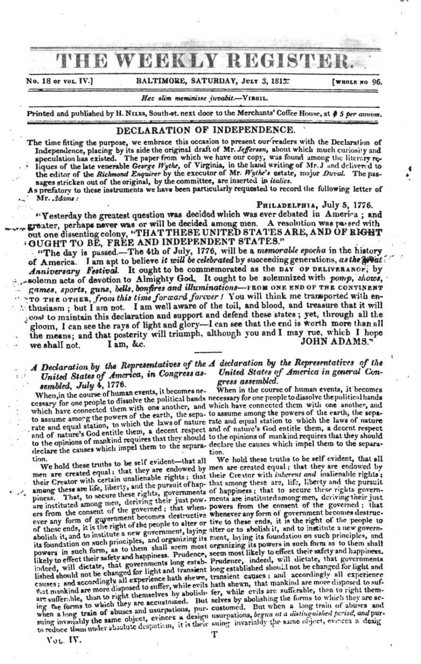# THE WEEKLY REGISTER.

No. 18 or vol. IV.]

#### BALTIMORE, SATURDAY, JULY 3, 1815.

[WHOLE NO 96.

#### Hec olim meminisse juvabit .- VIRGIL.

Printed and published by H. NILES, South-st. next door to the Merchants' Coffee House, at \$5 per annum.

## DECLARATION OF INDEPENDENCE.

The time fitting the purpose, we embrace this occasion to present our readers with the Declaration of the time intemplate purpose, we emitted original draft of Mr. Jefferson, about which multi the Deciration of<br>Independence, placing by its side the original draft of Mr. Jefferson, about which much curiosity and<br>speculation

is prefatory to these instruments we have been particularly requested to record the following letter of Mr. Adams:

#### PHILADELPHIA, July 5, 1776.

"Yesterday the greatest question was decided which was ever debated in America; and greater, perhaps never was or will be decided among men. A resolution was passed with out one dissenting colony, "THAT THESE UNITED STATES ARE, AND OF RIGHT OUGHT TO BE, FREE AND INDEPENDENT STATES."

"The day is passed.-The 4th of July, 1776, will be a memorable epocha in the history of America. I am apt to believe it will be celebrated by succeeding generations, as the weat Anniversary Festival. It ought to be commemorated as the DAY OF DELIVERANCE; by .solemn acts of devotion to Almighty God, It ought to be solemnized with pomp, shows, games, sports, guns, bells, bonfires and illuminations-FROM ONE END OF THE CONTINENT "TO THE OTHER, from this time forward forcer ! You will think me transported with en-: thusiasm; but I am not. I am well aware of the toil, and blood, and treasure that it will cost to maintain this declaration and support and defend these states; yet, through all the gloom, I can see the rays of light and glory-I can see that the end is worth more than all the means; and that posterity will triumph, although you and I may rue, which I hope JOHN ADAMS." we shall not. I am, &c.

### A Declaration by the Representatives of the A declaration by the Representatives of the United States of America, in Congress as-United States of America in general Consembled, July 4, 1776.

When, in the course of human events, it becomes newhich have connected them with one another, and which have connected them with one another, and to assume among the powers of the earth, the sepa- to assume among the powers of the earth, the sepadeclare the causes which impel them to the separa- declare the causes which impel them to the separation.

We hold these truths to be self evident-that all their Creator with certain unalienable rights; that their Creator with inherent and inalienable rights; their Greator with certain unanemous applies, that when the mong these are, life, liberty, and the pursuit of hap-<br>among these are life, liberty, and the pursuit of happiness of happiness; that to secure these rights gover abolish it, and to institute a new government, laying alter or to abolish it, and to institute a new governits foundation on such principles, and organizing its ment, laying its foundation on such principles, and Wat mankind are more disposed to surier, while evits nature such, that mankind are more disposed to suf-<br>are sufferible, than to right themselves by abolish- fer, while cvils are sufferable, than to right themselves by abo to reduce them under absolute despotism, it is their suing invariably the same object, evences a desig

gress assembled.<br>When in the course of human events, it becomes cessary for one people to dissolve the political bands necessary for one people to dissolve the political bands

the assume and equal station, to which the laws of nature rate and equal station to which the laws of nature and of nature's God entitle them, a decent respect and of nature's God entitle them, a decent respect to the opinions of mankind requires that they should to the opinions of mankind requires that they should

We hold these truths to be self evident, that all we not these hands ; that they are endowed by men are created equal; that they are endowed by are instituted among men, until the power of the security and the comes from the consent of the governed; that whenever shown the comes destructive whenever any form of government becomes destructive whenever any form of g its foundation on such principles, and organizing its mean, as any its foundation on such principles, and powers in such form, as to them shall seem most organizing its powers in such form, as to them shall seem most likel causes; and accordingly all experience hath shewn, transient causes; and accordingly all experience causes; and accordingly all experience hath shewn, transient causes; and accordingly all experience was that mankind are m

VOL. IV.

т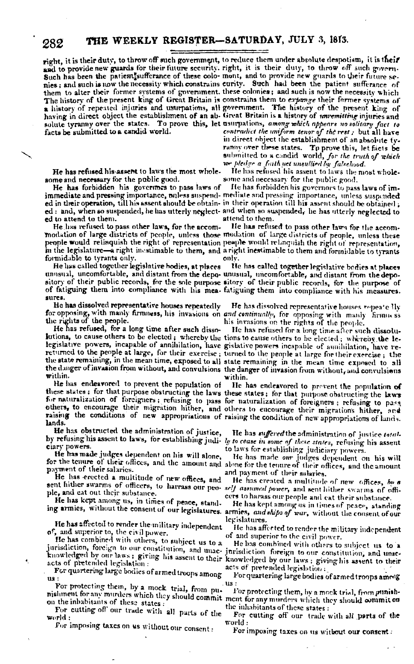## THE WEEKLY REGISTER-SATURDAY, JULY 3, 1813.

right, it is their duty, to throw off such government, to reduce them under absolute despotism, it is their facts be submitted to a candid world.

282

He has refused his assent to laws the most wholesome and necessary for the public good.

He has forbidden his governors to pass laws of ed to attend to them.

He has refused to pass other laws, for the accomformidable to tyrants only.

He has called together legislative hodies, at places sures.

He has dissolved representative houses repeatedly

He has refused, for a long time after such dissowithin.

He has endeavored to prevent the population of others, to encourage their migration lither, and others to encourage their migrations hither, and raising the conditions of new appropriations of raising the conditions of lands. lands.

He has obstructed the administration of justice, ciary powers.

He has made judges dependent on his will alone, payment of their salaries.

He has erected a multitude of new offices, and ple, and eat out their substance.

He has kept among us, in times of peace, stand-

He has affected to render the military independent of, and superior to, the civil power.

He has combined with others, to subject us to a jurisdiction, foreign to our constitution, and unac- jurisdiction foreign to our constitution, and unac-

For quartering large bodies of armed troops among

For protecting them, by a mock trial, from punishment for any murders which they should commit ment for any murders which they should commit on on the inhabitants of these states:

For cutting off our trade with all parts of the world :

For imposing taxes on us without our consent :

and to provide new guards for their future security. right, it is their duty, to throw off such govern. Such has been the patient'sufferance of these colo- mont, and to provide new guards to their future se-<br>nies; and such is now the necessity which constrains curity. Such had been the patient sufferance of them to alter their former systems of government, these colonies; and such is now the necessity which The history of the present king of Great Britain is constrains them to expange their former systems of a history of repeated injuries and usurpations, all government. The history of the present king of having in direct object the establishment of an ab- Great Britain is a history of *unvemitting* injuries and solute tyranny over the states. To prove this, let usurpations, among which appears no solitary fact to contradict the uniform tenor of the rest; but all have in direct object the establishment of an absolute tyranny over these states. To prove this, let facts be submitted to a candid world, for the truth of which we pledge a faith yet unsullied by falsehood.

He has refused his assent to laws the most wholesome and necessary for the public good.

He has forbidden his governors to pass laws of imimmediate and pressing importance, unless suspend- mediate and pressing importance, unless suspended ed in their operation, till his assent should be obtained; ed: and, when so suspended, he has utterly neglect- and when so suspended, he has utterly neglected to attend to them.

He has refused to pass other laws for the accommodation of large districts of people, unless those modation of large districts of people, unless these people would relinquish the right of representation people would relinquish the right of representation, in the legislature-a right inestimable to them, and a right inestimable to them and formidable to tyrants only.

He has called together legislative bodies at places unusual, uncomfortable, and distant from the depo- unusual, uncomfortable, and distant from the depository of their public records, for the sole purpose sitory of their public records, of fatiguing them into compliance with his mea-fatiguing them into compliance with his measures.

He has dissolved representative houses repeate lly for opposing, with manly firmness, his invasions on and continually, for opposing with manly firmules the rights of the people.

He has refused for a long time after such dissolulutions, to cause others to be elected; whereby the tions to cause others to be elected; whereby the lelegislative powers, incapable of annihilation, have gislative powers incapable of annihilation, have rereturned to the people at large, for their exercise; turned to the people at large for their exercise; the the state remaining, in the mean time, exposed to all state remaining in the mean time exposed to all the danger of invasion from without, and convulsions the danger of invasion from without, and convulsions within.

He has endeavored to prevent the population of these states; for that purpose obstructing the laws these states; for that purpose obstructing the laws for naturalization of foreigners; refusing to pass for naturalization of foreigners; refusing to pass

He has *suffered* the administration of justice totalby refusing his assent to laws, for establishing judi- ly to cease in some of these states, refusing his assent to laws for establishing judiciary powers.

He has made our judges dependent on his will for the tenure of their offices, and the amount and alone for the tenure of their offices, and the amount and payment of their salaries.

He has created a multitude of new offices, by a sent hither swarms of officers, to harrass our peo- self assumed power, and sent hither swarms of officers to harass our people and cat their substance.

He has kept among us in times of peace, standing ing armies, without the consent of our legislatures. armies, and ships of war, without the consent of our legislatures.

> He has affected to render the military independent of and superior to the civil power.

He has combined with others to subject us to a knowledged by our laws: giving his assent to their knowledged by our laws; giving his assent to their acts of pretended legislation :

For quartering large bodies of armed troops among us:

For protecting them, by a mock trial, from punishthe inhabitants of these states :

For cutting off our trade with all parts of the world:

For imposing taxes on us without our consent: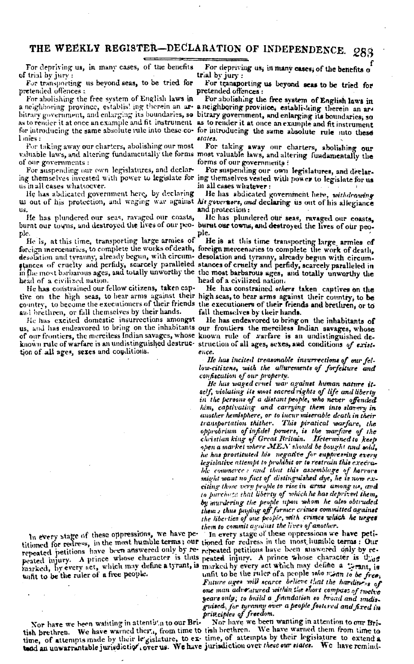#### THE WEEKLY REGISTER-DECLARATION OF INDEPENDENCE. 283

For depriving us, in many cases, of the benefits of trial by jury:

For transporting us beyond seas, to be tried for pretended offences :

For abolishing the free system of English laws in  $l$  mies:

For taking away our charters, abolishing our most of our governments:

For suspending our own legislatures, and declarus in all cases whatsoever.

He has abdicated government here, by declaring us out of his protection, and waging wav against his generators, and declaring us out of his allegiance us.

He has plundered our seas, ravaged our coasts, ple.

He is, at this time, transporting large armies of foreign inercenaries, to complete the works of death, foreign mercenaries to complete the work of death, desolation and tyrauny, already begun, with circumstances of cruelty and perfidy, scarcely paralleled stances of cruelty and perfidy, scarcely paralleled in the most barbarous ages, and totally unworthy the the most barbarous ages, and totally unworthy the head of a civilized nation.

He has constrained our fellow citizens, taken capand brethren, or fall themselves by their hands.

He has excited domestic insurrections amongst tion of all ages, sexes and couditions.

In every stage of these oppressions, we have petitioned for redress, in the most humble terms; our tioned for redress in the most humble terms: Our repeated petitions have been answered only by re-repeated petitions have been answered only by re-

Nor have we heen wanting in attentis'n to our Bri-

For depriving us, in many cases, of the benefits o trial by jury:

For transporting us beyond seas to be tried for pretended offences:

For abolishing the free system of English laws in a neighboring province, establis! ing therein an are a neighboring province, establishing therein an arbitrary government, and enlarging its boundaries, so bitrary government, and enlarging its boundaries, so as to render it at once an example and fit instrument as to render it at once an example and fit instrument for introducing the same absolute rule into these co- for introducing the same absolute rule into these etates.

For taking away our charters, abolishing our valuable laws, and altering fundamentally the forms most valuable laws, and altering fundamentally the forms of our governments:

For suspending our own legislatures, and declaring themselves invested with power to legislate for ing themselves vested with power to legislate for us in all cases whatever:

He has abdicated government here, withdrawing and protection:

He has plundered our seas, ravaged our coasts, burnt our towns, and destroyed the lives of our peo- burnt our towns, and destroyed the lives of our peopie.

He is at this time transporting large armies of desolation and tyranny, already begun with circumhead of a civilized nation.

He has constrained *others* taken captives on the tive on the high seas, to bear arms against their high seas, to bear arms against their country, to be country, to become the executioners of their friends the executioners of their friends and brethren, or to fall themselves by their hands.

He has endeavored to bring on the inhabitants of us, and has endeavored to bring on the inhabitants our frontiers the merciless Indian savages, whose of our frontiers, the merciless Indian savages, whose known rule of warfare is an undistinguished deknown rule of warfare is an undistinguished destruc- struction of all ages, sexes, and conditions of existence.

> He has incited treasonable insurrections of our fellow-citizens, with the allurements of forfeiture and confiscution of our property.

He luis waged cruel war against human nature itself, violating its most sacred rights of life and liberty in the persons of a distant people, who never offended him, captivating and carrying them into slavery in<br>another hemisphere, or to incur miserable death in their transportation thither. This piratical warfare, the opprobrium of infidel powers, is the warfare of the christian king of Great Rritain. Determined to keep open a market where MEN should be bought and sold, he has prostituted his negative for suppressing every legislative attempt to prohibit or to restrain this execrable commerce: and that this assemblage of horrors might want no fact of distinguished dye, he is now exciting those very people to rise in arms among us, and to purchase that liberty of which he has deprived them, by murdering the people upon whom he also obtruded them : thus paying off former crimes committed against the liberties of one people, with crimes which he urges them to commit against the lives of another

In every stage of these oppressions we have petipeated injury. A prince whose character is thus peated injury. A prince whose character is thing harked, by every act, which may define a tyrant, is marked by every act which may define a tyrant, is<br>unfit to be the ruler of a free people. unfit to be the ruler of a people roto mean to be free. unfit to be the ruler of a people rehe mean to be free: Future ages will scarce believe that the hardings of one man adventured within the short compast of twelve years only; to build a foundation so broad and undisguised, for tyranny over a people fostered and fixed in priv.ciples of freedom.

Nor have we been wanting in attention to our British brethren. We have warned their, from time to tish brethren. We have warned them from time to time, of attempts made by their le gislature, to ex- time, of attempts by their legislature to extend a tand an unwarrantable jurisdictior, over us. We have jurisdiction over these our states. We have remind